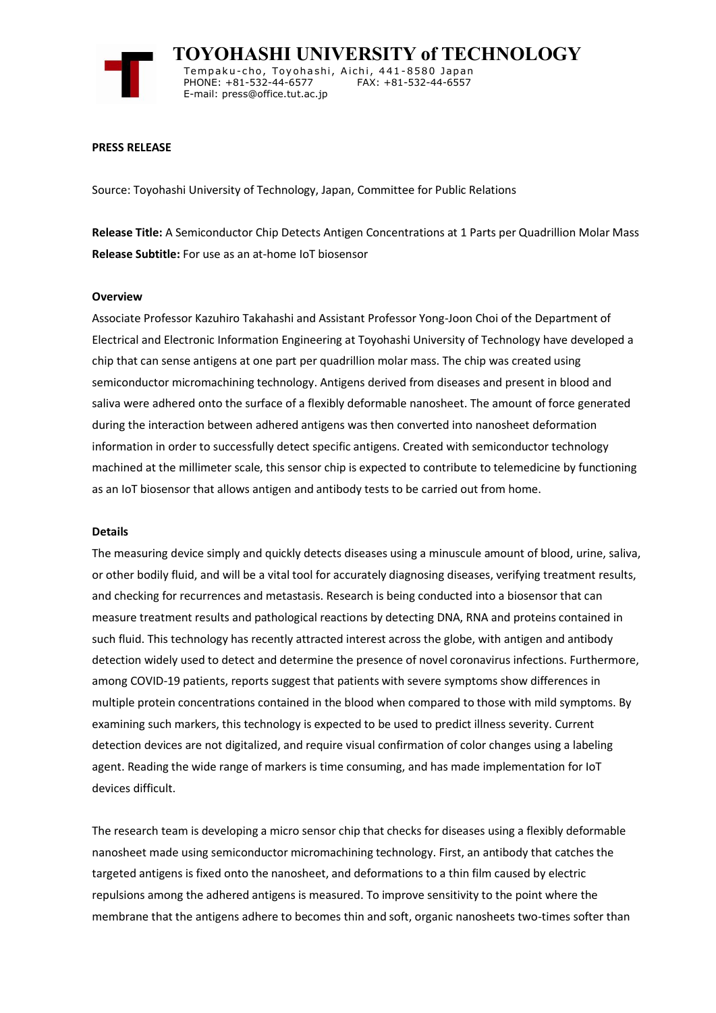

 **TOYOHASHI UNIVERSITY of TECHNOLOGY** Tempaku-cho, Toyohashi, Aichi, 441-8580 Japan<br>PHONE: +81-532-44-6577 FAX: +81-532-44-6557 PHONE: +81-532-44-6577 E-mail: press@office.tut.ac.jp

### **PRESS RELEASE**

Source: Toyohashi University of Technology, Japan, Committee for Public Relations

**Release Title:** A Semiconductor Chip Detects Antigen Concentrations at 1 Parts per Quadrillion Molar Mass **Release Subtitle:** For use as an at-home IoT biosensor

#### **Overview**

Associate Professor Kazuhiro Takahashi and Assistant Professor Yong-Joon Choi of the Department of Electrical and Electronic Information Engineering at Toyohashi University of Technology have developed a chip that can sense antigens at one part per quadrillion molar mass. The chip was created using semiconductor micromachining technology. Antigens derived from diseases and present in blood and saliva were adhered onto the surface of a flexibly deformable nanosheet. The amount of force generated during the interaction between adhered antigens was then converted into nanosheet deformation information in order to successfully detect specific antigens. Created with semiconductor technology machined at the millimeter scale, this sensor chip is expected to contribute to telemedicine by functioning as an IoT biosensor that allows antigen and antibody tests to be carried out from home.

#### **Details**

The measuring device simply and quickly detects diseases using a minuscule amount of blood, urine, saliva, or other bodily fluid, and will be a vital tool for accurately diagnosing diseases, verifying treatment results, and checking for recurrences and metastasis. Research is being conducted into a biosensor that can measure treatment results and pathological reactions by detecting DNA, RNA and proteins contained in such fluid. This technology has recently attracted interest across the globe, with antigen and antibody detection widely used to detect and determine the presence of novel coronavirus infections. Furthermore, among COVID-19 patients, reports suggest that patients with severe symptoms show differences in multiple protein concentrations contained in the blood when compared to those with mild symptoms. By examining such markers, this technology is expected to be used to predict illness severity. Current detection devices are not digitalized, and require visual confirmation of color changes using a labeling agent. Reading the wide range of markers is time consuming, and has made implementation for IoT devices difficult.

The research team is developing a micro sensor chip that checks for diseases using a flexibly deformable nanosheet made using semiconductor micromachining technology. First, an antibody that catches the targeted antigens is fixed onto the nanosheet, and deformations to a thin film caused by electric repulsions among the adhered antigens is measured. To improve sensitivity to the point where the membrane that the antigens adhere to becomes thin and soft, organic nanosheets two-times softer than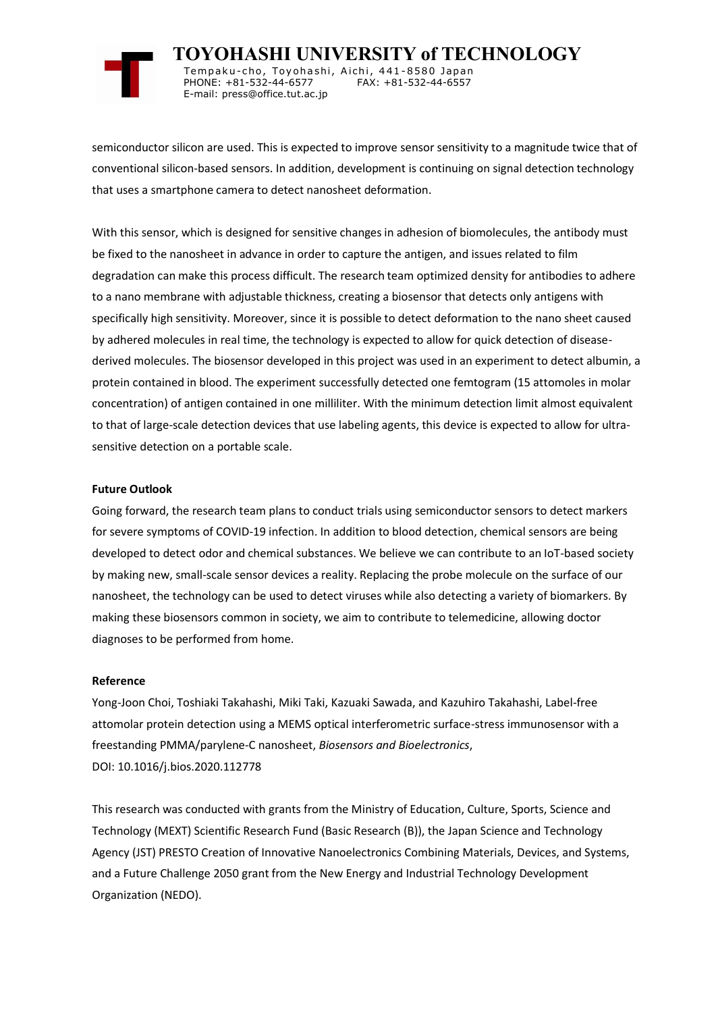

 **TOYOHASHI UNIVERSITY of TECHNOLOGY** Tempaku-cho, Toyohashi, Aichi, 441-8580 Japan<br>PHONE: +81-532-44-6577 FAX: +81-532-44-6557 PHONE: +81-532-44-6577 E-mail: press@office.tut.ac.jp

semiconductor silicon are used. This is expected to improve sensor sensitivity to a magnitude twice that of conventional silicon-based sensors. In addition, development is continuing on signal detection technology that uses a smartphone camera to detect nanosheet deformation.

With this sensor, which is designed for sensitive changes in adhesion of biomolecules, the antibody must be fixed to the nanosheet in advance in order to capture the antigen, and issues related to film degradation can make this process difficult. The research team optimized density for antibodies to adhere to a nano membrane with adjustable thickness, creating a biosensor that detects only antigens with specifically high sensitivity. Moreover, since it is possible to detect deformation to the nano sheet caused by adhered molecules in real time, the technology is expected to allow for quick detection of diseasederived molecules. The biosensor developed in this project was used in an experiment to detect albumin, a protein contained in blood. The experiment successfully detected one femtogram (15 attomoles in molar concentration) of antigen contained in one milliliter. With the minimum detection limit almost equivalent to that of large-scale detection devices that use labeling agents, this device is expected to allow for ultrasensitive detection on a portable scale.

## **Future Outlook**

Going forward, the research team plans to conduct trials using semiconductor sensors to detect markers for severe symptoms of COVID-19 infection. In addition to blood detection, chemical sensors are being developed to detect odor and chemical substances. We believe we can contribute to an IoT-based society by making new, small-scale sensor devices a reality. Replacing the probe molecule on the surface of our nanosheet, the technology can be used to detect viruses while also detecting a variety of biomarkers. By making these biosensors common in society, we aim to contribute to telemedicine, allowing doctor diagnoses to be performed from home.

## **Reference**

Yong-Joon Choi, Toshiaki Takahashi, Miki Taki, Kazuaki Sawada, and Kazuhiro Takahashi, Label-free attomolar protein detection using a MEMS optical interferometric surface-stress immunosensor with a freestanding PMMA/parylene-C nanosheet, *Biosensors and Bioelectronics*, DOI: 10.1016/j.bios.2020.112778

This research was conducted with grants from the Ministry of Education, Culture, Sports, Science and Technology (MEXT) Scientific Research Fund (Basic Research (B)), the Japan Science and Technology Agency (JST) PRESTO Creation of Innovative Nanoelectronics Combining Materials, Devices, and Systems, and a Future Challenge 2050 grant from the New Energy and Industrial Technology Development Organization (NEDO).